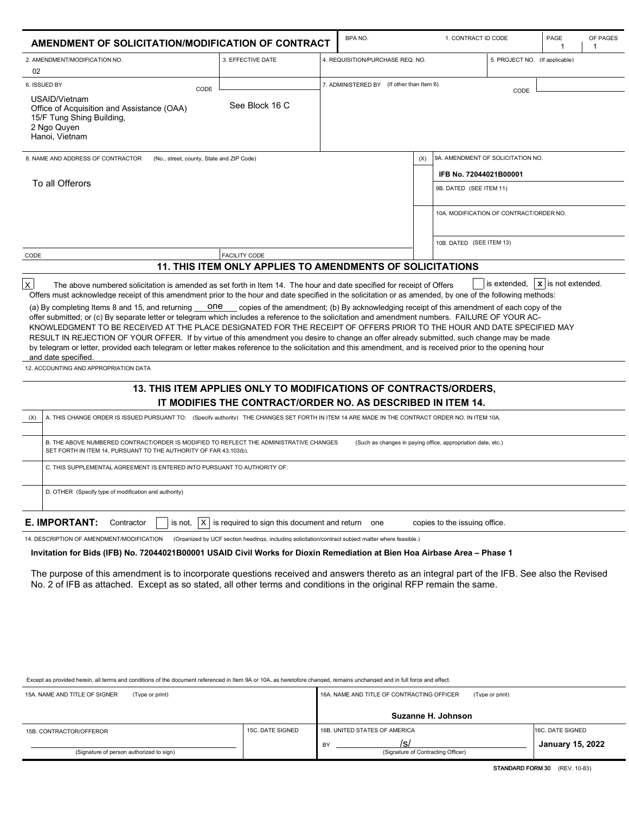| AMENDMENT OF SOLICITATION/MODIFICATION OF CONTRACT                                                                                                                                                                                                                                                                                                                                                                                                                                                                                                                                                                                                    |                                                  | BPA NO.                                                                                             |     | 1. CONTRACT ID CODE                     |                                | PAGE<br>$\overline{\phantom{a}}$ | OF PAGES<br>-1 |
|-------------------------------------------------------------------------------------------------------------------------------------------------------------------------------------------------------------------------------------------------------------------------------------------------------------------------------------------------------------------------------------------------------------------------------------------------------------------------------------------------------------------------------------------------------------------------------------------------------------------------------------------------------|--------------------------------------------------|-----------------------------------------------------------------------------------------------------|-----|-----------------------------------------|--------------------------------|----------------------------------|----------------|
| 2. AMENDMENT/MODIFICATION NO.<br>02                                                                                                                                                                                                                                                                                                                                                                                                                                                                                                                                                                                                                   | 3. EFFECTIVE DATE                                | 4. REQUISITION/PURCHASE REQ. NO.                                                                    |     |                                         | 5. PROJECT NO. (If applicable) |                                  |                |
| 6. ISSUED BY<br>CODE                                                                                                                                                                                                                                                                                                                                                                                                                                                                                                                                                                                                                                  |                                                  | 7. ADMINISTERED BY (If other than Item 6)                                                           |     |                                         |                                |                                  |                |
| USAID/Vietnam<br>Office of Acquisition and Assistance (OAA)<br>15/F Tung Shing Building,<br>2 Ngo Quyen<br>Hanoi, Vietnam                                                                                                                                                                                                                                                                                                                                                                                                                                                                                                                             | See Block 16 C                                   |                                                                                                     |     |                                         | CODE                           |                                  |                |
| 8. NAME AND ADDRESS OF CONTRACTOR<br>(No., street, county, State and ZIP Code)                                                                                                                                                                                                                                                                                                                                                                                                                                                                                                                                                                        |                                                  |                                                                                                     | (X) | 9A. AMENDMENT OF SOLICITATION NO.       |                                |                                  |                |
|                                                                                                                                                                                                                                                                                                                                                                                                                                                                                                                                                                                                                                                       |                                                  |                                                                                                     |     | IFB No. 72044021B00001                  |                                |                                  |                |
| To all Offerors                                                                                                                                                                                                                                                                                                                                                                                                                                                                                                                                                                                                                                       |                                                  |                                                                                                     |     | 9B. DATED (SEE ITEM 11)                 |                                |                                  |                |
|                                                                                                                                                                                                                                                                                                                                                                                                                                                                                                                                                                                                                                                       |                                                  |                                                                                                     |     | 10A. MODIFICATION OF CONTRACT/ORDER NO. |                                |                                  |                |
|                                                                                                                                                                                                                                                                                                                                                                                                                                                                                                                                                                                                                                                       |                                                  |                                                                                                     |     |                                         |                                |                                  |                |
|                                                                                                                                                                                                                                                                                                                                                                                                                                                                                                                                                                                                                                                       |                                                  |                                                                                                     |     | 10B. DATED (SEE ITEM 13)                |                                |                                  |                |
| CODE                                                                                                                                                                                                                                                                                                                                                                                                                                                                                                                                                                                                                                                  | <b>FACILITY CODE</b>                             | <b>11. THIS ITEM ONLY APPLIES TO AMENDMENTS OF SOLICITATIONS</b>                                    |     |                                         |                                |                                  |                |
| offer submitted: or (c) By separate letter or telegram which includes a reference to the solicitation and amendment numbers. FAILURE OF YOUR AC-<br>KNOWLEDGMENT TO BE RECEIVED AT THE PLACE DESIGNATED FOR THE RECEIPT OF OFFERS PRIOR TO THE HOUR AND DATE SPECIFIED MAY<br>RESULT IN REJECTION OF YOUR OFFER. If by virtue of this amendment you desire to change an offer already submitted, such change may be made<br>by telegram or letter, provided each telegram or letter makes reference to the solicitation and this amendment, and is received prior to the opening hour<br>and date specified.<br>12. ACCOUNTING AND APPROPRIATION DATA |                                                  |                                                                                                     |     |                                         |                                |                                  |                |
|                                                                                                                                                                                                                                                                                                                                                                                                                                                                                                                                                                                                                                                       |                                                  | 13. THIS ITEM APPLIES ONLY TO MODIFICATIONS OF CONTRACTS/ORDERS.                                    |     |                                         |                                |                                  |                |
| IT MODIFIES THE CONTRACT/ORDER NO. AS DESCRIBED IN ITEM 14.<br>(X)<br>A. THIS CHANGE ORDER IS ISSUED PURSUANT TO: (Specify authority) THE CHANGES SET FORTH IN ITEM 14 ARE MADE IN THE CONTRACT ORDER NO. IN ITEM 10A.                                                                                                                                                                                                                                                                                                                                                                                                                                |                                                  |                                                                                                     |     |                                         |                                |                                  |                |
| B. THE ABOVE NUMBERED CONTRACT/ORDER IS MODIFIED TO REFLECT THE ADMINISTRATIVE CHANGES<br>SET FORTH IN ITEM 14, PURSUANT TO THE AUTHORITY OF FAR 43.103(b).                                                                                                                                                                                                                                                                                                                                                                                                                                                                                           |                                                  | (Such as changes in paving office, appropriation date, etc.)                                        |     |                                         |                                |                                  |                |
| C. THIS SUPPLEMENTAL AGREEMENT IS ENTERED INTO PURSUANT TO AUTHORITY OF:                                                                                                                                                                                                                                                                                                                                                                                                                                                                                                                                                                              |                                                  |                                                                                                     |     |                                         |                                |                                  |                |
| D. OTHER (Specify type of modification and authority)                                                                                                                                                                                                                                                                                                                                                                                                                                                                                                                                                                                                 |                                                  |                                                                                                     |     |                                         |                                |                                  |                |
| <b>E. IMPORTANT:</b><br> X <br>Contractor<br>is not,                                                                                                                                                                                                                                                                                                                                                                                                                                                                                                                                                                                                  | is required to sign this document and return one |                                                                                                     |     | copies to the issuing office.           |                                |                                  |                |
| 14. DESCRIPTION OF AMENDMENT/MODIFICATION                                                                                                                                                                                                                                                                                                                                                                                                                                                                                                                                                                                                             |                                                  | (Organized by UCF section headings, including solicitation/contract subject matter where feasible.) |     |                                         |                                |                                  |                |
| Invitation for Bids (IFB) No. 72044021B00001 USAID Civil Works for Dioxin Remediation at Bien Hoa Airbase Area – Phase 1                                                                                                                                                                                                                                                                                                                                                                                                                                                                                                                              |                                                  |                                                                                                     |     |                                         |                                |                                  |                |
| The purpose of this amendment is to incorporate questions received and answers thereto as an integral part of the IFB. See also the Revised<br>No. 2 of IFB as attached. Except as so stated, all other terms and conditions in the original RFP remain the same.                                                                                                                                                                                                                                                                                                                                                                                     |                                                  |                                                                                                     |     |                                         |                                |                                  |                |

Except as provided herein, all terms and conditions of the document referenced in Item 9A or 10A, as heretofore changed, remains unchanged and in full force and effect.

| 15A, NAME AND TITLE OF SIGNER<br>(Type or print) |                  | 16A, NAME AND TITLE OF CONTRACTING OFFICER<br>(Type or print) |                         |
|--------------------------------------------------|------------------|---------------------------------------------------------------|-------------------------|
|                                                  |                  | Suzanne H. Johnson                                            |                         |
| 15B. CONTRACTOR/OFFEROR                          | 15C. DATE SIGNED | 16B. UNITED STATES OF AMERICA                                 | 16C. DATE SIGNED        |
| (Signature of person authorized to sign)         |                  | /s/<br>BY<br>(Signature of Contracting Officer)               | <b>January 15, 2022</b> |

**STANDARD FORM 30** (REV. 10-83)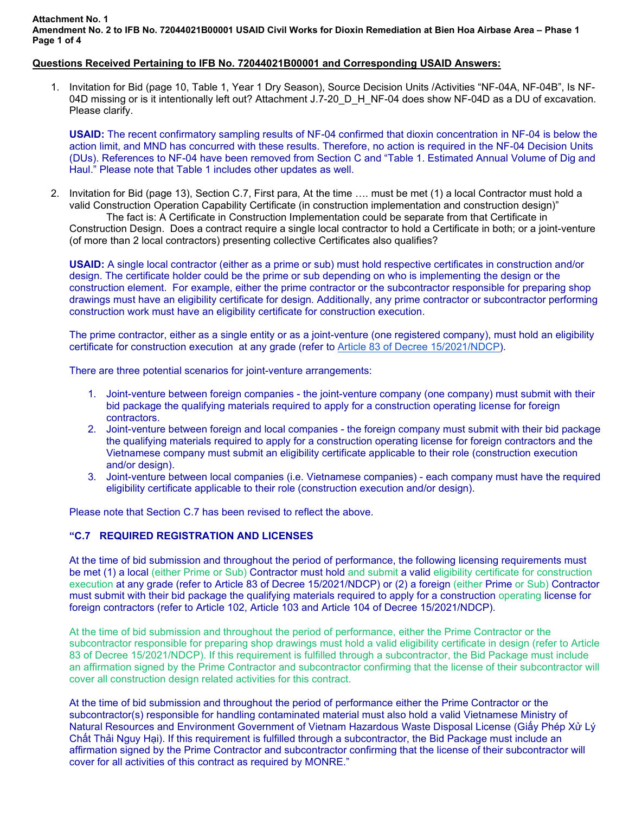## **Attachment No. 1 Amendment No. 2 to IFB No. 72044021B00001 USAID Civil Works for Dioxin Remediation at Bien Hoa Airbase Area – Phase 1 Page 1 of 4**

## **Questions Received Pertaining to IFB No. 72044021B00001 and Corresponding USAID Answers:**

1. Invitation for Bid (page 10, Table 1, Year 1 Dry Season), Source Decision Units /Activities "NF-04A, NF-04B", Is NF-04D missing or is it intentionally left out? Attachment J.7-20 D H NF-04 does show NF-04D as a DU of excavation. Please clarify.

**USAID:** The recent confirmatory sampling results of NF-04 confirmed that dioxin concentration in NF-04 is below the action limit, and MND has concurred with these results. Therefore, no action is required in the NF-04 Decision Units (DUs). References to NF-04 have been removed from Section C and "Table 1. Estimated Annual Volume of Dig and Haul." Please note that Table 1 includes other updates as well.

2. Invitation for Bid (page 13), Section C.7, First para, At the time …. must be met (1) a local Contractor must hold a valid Construction Operation Capability Certificate (in construction implementation and construction design)"

The fact is: A Certificate in Construction Implementation could be separate from that Certificate in Construction Design. Does a contract require a single local contractor to hold a Certificate in both; or a joint-venture (of more than 2 local contractors) presenting collective Certificates also qualifies?

**USAID:** A single local contractor (either as a prime or sub) must hold respective certificates in construction and/or design. The certificate holder could be the prime or sub depending on who is implementing the design or the construction element. For example, either the prime contractor or the subcontractor responsible for preparing shop drawings must have an eligibility certificate for design. Additionally, any prime contractor or subcontractor performing construction work must have an eligibility certificate for construction execution.

The prime contractor, either as a single entity or as a joint-venture (one registered company), must hold an eligibility certificate for construction execution at any grade (refer t[o Article 83 of Decree 15/2021/NDCP\)](https://docs.google.com/document/d/1Sub4wuTQI0VCSojSfmgQxCGb2RzWqiSG/edit).

There are three potential scenarios for joint-venture arrangements:

- 1. Joint-venture between foreign companies the joint-venture company (one company) must submit with their bid package the qualifying materials required to apply for a construction operating license for foreign contractors.
- 2. Joint-venture between foreign and local companies the foreign company must submit with their bid package the qualifying materials required to apply for a construction operating license for foreign contractors and the Vietnamese company must submit an eligibility certificate applicable to their role (construction execution and/or design).
- 3. Joint-venture between local companies (i.e. Vietnamese companies) each company must have the required eligibility certificate applicable to their role (construction execution and/or design).

Please note that Section C.7 has been revised to reflect the above.

## **"C.7 REQUIRED REGISTRATION AND LICENSES**

At the time of bid submission and throughout the period of performance, the following licensing requirements must be met (1) a local (either Prime or Sub) Contractor must hold and submit a valid eligibility certificate for construction execution at any grade (refer to Article 83 of Decree 15/2021/NDCP) or (2) a foreign (either Prime or Sub) Contractor must submit with their bid package the qualifying materials required to apply for a construction operating license for foreign contractors (refer to Article 102, Article 103 and Article 104 of Decree 15/2021/NDCP).

At the time of bid submission and throughout the period of performance, either the Prime Contractor or the subcontractor responsible for preparing shop drawings must hold a valid eligibility certificate in design (refer to Article 83 of Decree 15/2021/NDCP). If this requirement is fulfilled through a subcontractor, the Bid Package must include an affirmation signed by the Prime Contractor and subcontractor confirming that the license of their subcontractor will cover all construction design related activities for this contract.

At the time of bid submission and throughout the period of performance either the Prime Contractor or the subcontractor(s) responsible for handling contaminated material must also hold a valid Vietnamese Ministry of Natural Resources and Environment Government of Vietnam Hazardous Waste Disposal License (Giấy Phép Xử Lý Chất Thải Nguy Hại). If this requirement is fulfilled through a subcontractor, the Bid Package must include an affirmation signed by the Prime Contractor and subcontractor confirming that the license of their subcontractor will cover for all activities of this contract as required by MONRE."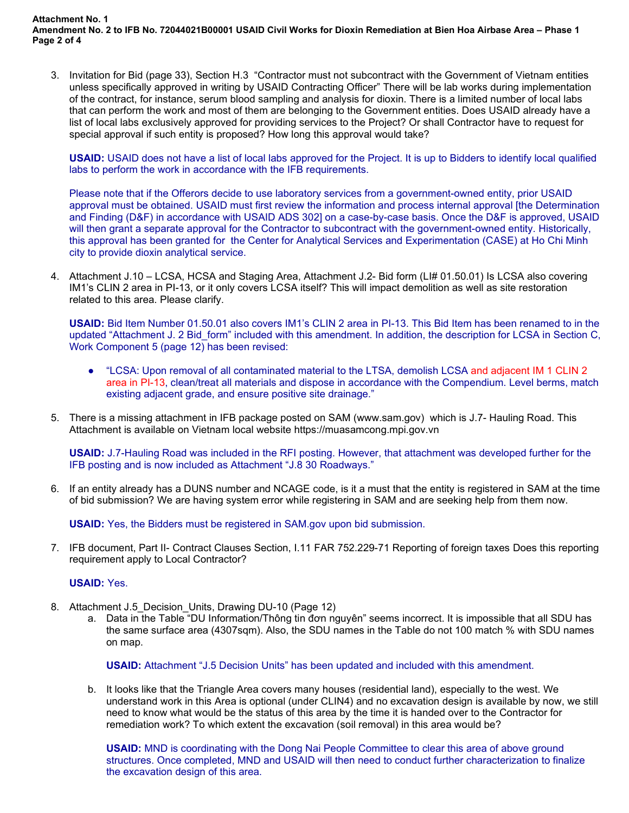**Attachment No. 1 Amendment No. 2 to IFB No. 72044021B00001 USAID Civil Works for Dioxin Remediation at Bien Hoa Airbase Area – Phase 1 Page 2 of 4**

3. Invitation for Bid (page 33), Section H.3 "Contractor must not subcontract with the Government of Vietnam entities unless specifically approved in writing by USAID Contracting Officer" There will be lab works during implementation of the contract, for instance, serum blood sampling and analysis for dioxin. There is a limited number of local labs that can perform the work and most of them are belonging to the Government entities. Does USAID already have a list of local labs exclusively approved for providing services to the Project? Or shall Contractor have to request for special approval if such entity is proposed? How long this approval would take?

**USAID:** USAID does not have a list of local labs approved for the Project. It is up to Bidders to identify local qualified labs to perform the work in accordance with the IFB requirements.

Please note that if the Offerors decide to use laboratory services from a government-owned entity, prior USAID approval must be obtained. USAID must first review the information and process internal approval [the Determination and Finding (D&F) in accordance with USAID ADS 302] on a case-by-case basis. Once the D&F is approved, USAID will then grant a separate approval for the Contractor to subcontract with the government-owned entity. Historically, this approval has been granted for the Center for Analytical Services and Experimentation (CASE) at Ho Chi Minh city to provide dioxin analytical service.

4. Attachment J.10 – LCSA, HCSA and Staging Area, Attachment J.2- Bid form (LI# 01.50.01) Is LCSA also covering IM1's CLIN 2 area in PI-13, or it only covers LCSA itself? This will impact demolition as well as site restoration related to this area. Please clarify.

**USAID:** Bid Item Number 01.50.01 also covers IM1's CLIN 2 area in PI-13. This Bid Item has been renamed to in the updated "Attachment J. 2 Bid\_form" included with this amendment. In addition, the description for LCSA in Section C, Work Component 5 (page 12) has been revised:

- "LCSA: Upon removal of all contaminated material to the LTSA, demolish LCSA and adjacent IM 1 CLIN 2 area in PI-13, clean/treat all materials and dispose in accordance with the Compendium. Level berms, match existing adjacent grade, and ensure positive site drainage."
- 5. There is a missing attachment in IFB package posted on SAM (www.sam.gov) which is J.7- Hauling Road. This Attachment is available on Vietnam local website https://muasamcong.mpi.gov.vn

**USAID:** J.7-Hauling Road was included in the RFI posting. However, that attachment was developed further for the IFB posting and is now included as Attachment "J.8 30 Roadways."

6. If an entity already has a DUNS number and NCAGE code, is it a must that the entity is registered in SAM at the time of bid submission? We are having system error while registering in SAM and are seeking help from them now.

**USAID:** Yes, the Bidders must be registered in SAM.gov upon bid submission.

7. IFB document, Part II- Contract Clauses Section, I.11 FAR 752.229-71 Reporting of foreign taxes Does this reporting requirement apply to Local Contractor?

## **USAID:** Yes.

- 8. Attachment J.5\_Decision\_Units, Drawing DU-10 (Page 12)
	- a. Data in the Table "DU Information/Thông tin đơn nguyên" seems incorrect. It is impossible that all SDU has the same surface area (4307sqm). Also, the SDU names in the Table do not 100 match % with SDU names on map.

**USAID:** Attachment "J.5 Decision Units" has been updated and included with this amendment.

b. It looks like that the Triangle Area covers many houses (residential land), especially to the west. We understand work in this Area is optional (under CLIN4) and no excavation design is available by now, we still need to know what would be the status of this area by the time it is handed over to the Contractor for remediation work? To which extent the excavation (soil removal) in this area would be?

**USAID:** MND is coordinating with the Dong Nai People Committee to clear this area of above ground structures. Once completed, MND and USAID will then need to conduct further characterization to finalize the excavation design of this area.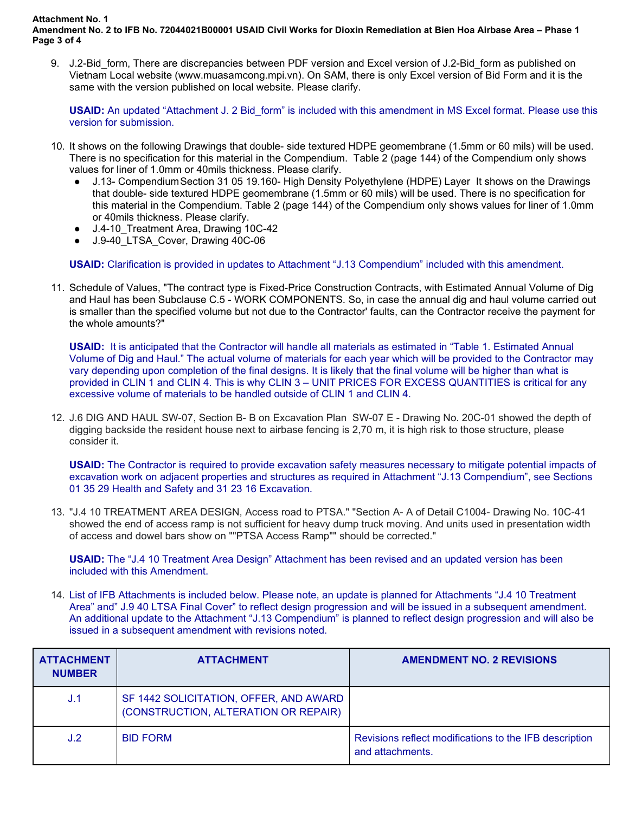**Attachment No. 1** 

**Amendment No. 2 to IFB No. 72044021B00001 USAID Civil Works for Dioxin Remediation at Bien Hoa Airbase Area – Phase 1 Page 3 of 4**

9. J.2-Bid form, There are discrepancies between PDF version and Excel version of J.2-Bid form as published on Vietnam Local website (www.muasamcong.mpi.vn). On SAM, there is only Excel version of Bid Form and it is the same with the version published on local website. Please clarify.

**USAID:** An updated "Attachment J. 2 Bid\_form" is included with this amendment in MS Excel format. Please use this version for submission.

- 10. It shows on the following Drawings that double- side textured HDPE geomembrane (1.5mm or 60 mils) will be used. There is no specification for this material in the Compendium. Table 2 (page 144) of the Compendium only shows values for liner of 1.0mm or 40mils thickness. Please clarify.
	- J.13- Compendium Section 31 05 19.160- High Density Polyethylene (HDPE) Layer It shows on the Drawings that double- side textured HDPE geomembrane (1.5mm or 60 mils) will be used. There is no specification for this material in the Compendium. Table 2 (page 144) of the Compendium only shows values for liner of 1.0mm or 40mils thickness. Please clarify.
	- J.4-10\_Treatment Area, Drawing 10C-42
	- J.9-40 LTSA Cover, Drawing 40C-06

**USAID:** Clarification is provided in updates to Attachment "J.13 Compendium" included with this amendment.

11. Schedule of Values, "The contract type is Fixed-Price Construction Contracts, with Estimated Annual Volume of Dig and Haul has been Subclause C.5 - WORK COMPONENTS. So, in case the annual dig and haul volume carried out is smaller than the specified volume but not due to the Contractor' faults, can the Contractor receive the payment for the whole amounts?"

**USAID:** It is anticipated that the Contractor will handle all materials as estimated in "Table 1. Estimated Annual Volume of Dig and Haul." The actual volume of materials for each year which will be provided to the Contractor may vary depending upon completion of the final designs. It is likely that the final volume will be higher than what is provided in CLIN 1 and CLIN 4. This is why CLIN 3 – UNIT PRICES FOR EXCESS QUANTITIES is critical for any excessive volume of materials to be handled outside of CLIN 1 and CLIN 4.

12. J.6 DIG AND HAUL SW-07, Section B- B on Excavation Plan SW-07 E - Drawing No. 20C-01 showed the depth of digging backside the resident house next to airbase fencing is 2,70 m, it is high risk to those structure, please consider it.

**USAID:** The Contractor is required to provide excavation safety measures necessary to mitigate potential impacts of excavation work on adjacent properties and structures as required in Attachment "J.13 Compendium", see Sections 01 35 29 Health and Safety and 31 23 16 Excavation.

13. "J.4 10 TREATMENT AREA DESIGN, Access road to PTSA." "Section A- A of Detail C1004- Drawing No. 10C-41 showed the end of access ramp is not sufficient for heavy dump truck moving. And units used in presentation width of access and dowel bars show on ""PTSA Access Ramp"" should be corrected."

**USAID:** The "J.4 10 Treatment Area Design" Attachment has been revised and an updated version has been included with this Amendment.

14. List of IFB Attachments is included below. Please note, an update is planned for Attachments "J.4 10 Treatment Area" and" J.9 40 LTSA Final Cover" to reflect design progression and will be issued in a subsequent amendment. An additional update to the Attachment "J.13 Compendium" is planned to reflect design progression and will also be issued in a subsequent amendment with revisions noted.

| <b>ATTACHMENT</b><br><b>NUMBER</b> | <b>ATTACHMENT</b>                                                              | <b>AMENDMENT NO. 2 REVISIONS</b>                                           |
|------------------------------------|--------------------------------------------------------------------------------|----------------------------------------------------------------------------|
| J.1                                | SF 1442 SOLICITATION, OFFER, AND AWARD<br>(CONSTRUCTION, ALTERATION OR REPAIR) |                                                                            |
| J.2                                | <b>BID FORM</b>                                                                | Revisions reflect modifications to the IFB description<br>and attachments. |